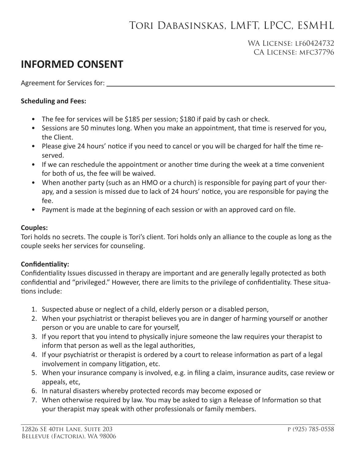## Tori Dabasinskas, LMFT, LPCC, ESMHL

### WA License: lf60424732 CA License: mfc37796

## **INFORMED CONSENT**

Agreement for Services for:

#### **Scheduling and Fees:**

- The fee for services will be \$185 per session; \$180 if paid by cash or check.
- Sessions are 50 minutes long. When you make an appointment, that time is reserved for you, the Client.
- Please give 24 hours' notice if you need to cancel or you will be charged for half the time reserved.
- If we can reschedule the appointment or another time during the week at a time convenient for both of us, the fee will be waived.
- When another party (such as an HMO or a church) is responsible for paying part of your therapy, and a session is missed due to lack of 24 hours' notice, you are responsible for paying the fee.
- Payment is made at the beginning of each session or with an approved card on file.

#### **Couples:**

Tori holds no secrets. The couple is Tori's client. Tori holds only an alliance to the couple as long as the couple seeks her services for counseling.

### **Confidentiality:**

Confidentiality Issues discussed in therapy are important and are generally legally protected as both confidential and "privileged." However, there are limits to the privilege of confidentiality. These situations include:

- 1. Suspected abuse or neglect of a child, elderly person or a disabled person,
- 2. When your psychiatrist or therapist believes you are in danger of harming yourself or another person or you are unable to care for yourself,
- 3. If you report that you intend to physically injure someone the law requires your therapist to inform that person as well as the legal authorities,
- 4. If your psychiatrist or therapist is ordered by a court to release information as part of a legal involvement in company litigation, etc.
- 5. When your insurance company is involved, e.g. in filing a claim, insurance audits, case review or appeals, etc,
- 6. In natural disasters whereby protected records may become exposed or
- 7. When otherwise required by law. You may be asked to sign a Release of Information so that your therapist may speak with other professionals or family members.